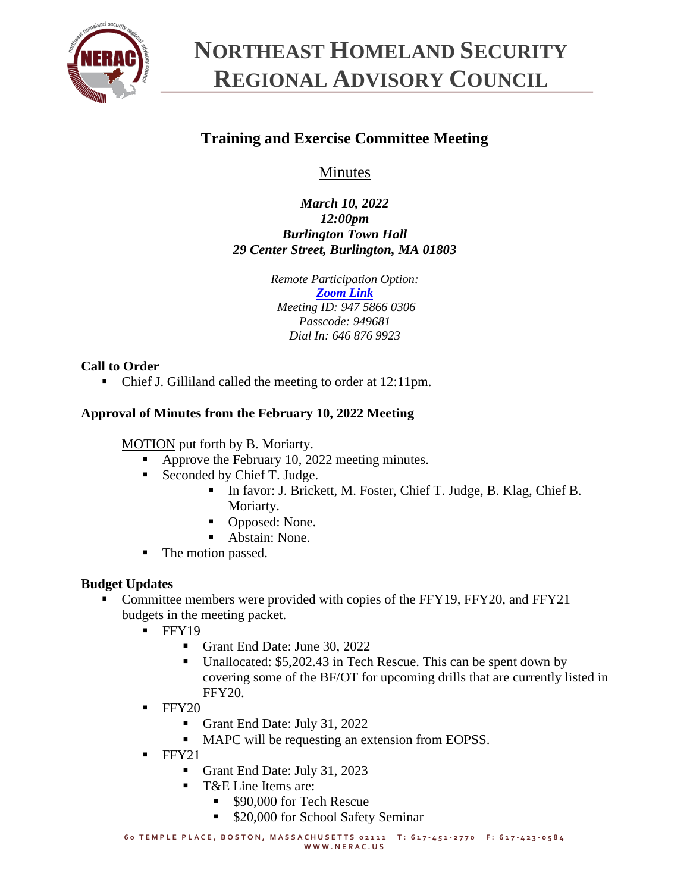

# **NORTHEAST HOMELAND SECURITY REGIONAL ADVISORY COUNCIL**

# **Training and Exercise Committee Meeting**

Minutes

*March 10, 2022 12:00pm Burlington Town Hall 29 Center Street, Burlington, MA 01803*

> *Remote Participation Option: [Zoom Link](https://zoom.us/j/94758660306?pwd=SzNhc1dNd0ZYNGg4c0pmalJ1bXVMdz09) Meeting ID: 947 5866 0306 Passcode: 949681 Dial In: 646 876 9923*

# **Call to Order**

■ Chief J. Gilliland called the meeting to order at 12:11pm.

## **Approval of Minutes from the February 10, 2022 Meeting**

MOTION put forth by B. Moriarty.

- Approve the February 10, 2022 meeting minutes.
- Seconded by Chief T. Judge.
	- In favor: J. Brickett, M. Foster, Chief T. Judge, B. Klag, Chief B. Moriarty.
	- Opposed: None.
	- Abstain: None.
- The motion passed.

# **Budget Updates**

- Committee members were provided with copies of the FFY19, FFY20, and FFY21 budgets in the meeting packet.
	- $\blacksquare$  FFY19
		- Grant End Date: June 30, 2022
		- Unallocated: \$5,202.43 in Tech Rescue. This can be spent down by covering some of the BF/OT for upcoming drills that are currently listed in FFY20.
	- $\blacksquare$  FFY20
		- Grant End Date: July 31, 2022
		- MAPC will be requesting an extension from EOPSS.
	- $\blacksquare$  FFY21
		- Grant End Date: July 31, 2023
		- T&E Line Items are:
			- \$90,000 for Tech Rescue
			- \$20,000 for School Safety Seminar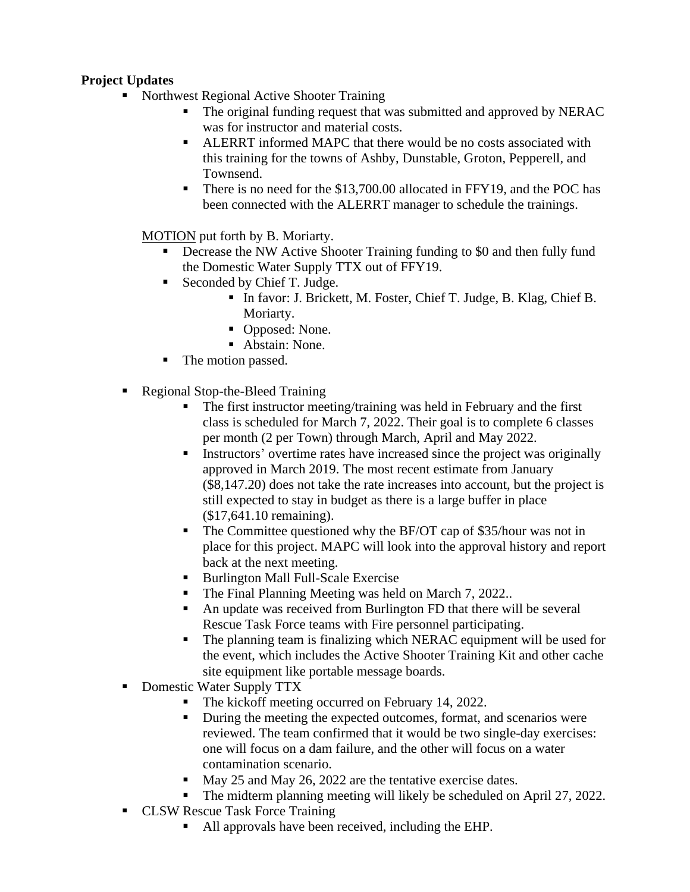# **Project Updates**

- Northwest Regional Active Shooter Training
	- The original funding request that was submitted and approved by NERAC was for instructor and material costs.
	- ALERRT informed MAPC that there would be no costs associated with this training for the towns of Ashby, Dunstable, Groton, Pepperell, and Townsend.
	- There is no need for the \$13,700.00 allocated in FFY19, and the POC has been connected with the ALERRT manager to schedule the trainings.

MOTION put forth by B. Moriarty.

- Decrease the NW Active Shooter Training funding to \$0 and then fully fund the Domestic Water Supply TTX out of FFY19.
- Seconded by Chief T. Judge.
	- In favor: J. Brickett, M. Foster, Chief T. Judge, B. Klag, Chief B. Moriarty.
	- Opposed: None.
	- Abstain: None.
- The motion passed.
- Regional Stop-the-Bleed Training
	- The first instructor meeting/training was held in February and the first class is scheduled for March 7, 2022. Their goal is to complete 6 classes per month (2 per Town) through March, April and May 2022.
	- **EXECUTE:** Instructors' overtime rates have increased since the project was originally approved in March 2019. The most recent estimate from January (\$8,147.20) does not take the rate increases into account, but the project is still expected to stay in budget as there is a large buffer in place (\$17,641.10 remaining).
	- The Committee questioned why the BF/OT cap of \$35/hour was not in place for this project. MAPC will look into the approval history and report back at the next meeting.
	- Burlington Mall Full-Scale Exercise
	- The Final Planning Meeting was held on March 7, 2022...
	- An update was received from Burlington FD that there will be several Rescue Task Force teams with Fire personnel participating.
	- The planning team is finalizing which NERAC equipment will be used for the event, which includes the Active Shooter Training Kit and other cache site equipment like portable message boards.
- Domestic Water Supply TTX
	- The kickoff meeting occurred on February 14, 2022.
	- During the meeting the expected outcomes, format, and scenarios were reviewed. The team confirmed that it would be two single-day exercises: one will focus on a dam failure, and the other will focus on a water contamination scenario.
	- May 25 and May 26, 2022 are the tentative exercise dates.
	- The midterm planning meeting will likely be scheduled on April 27, 2022.
- CLSW Rescue Task Force Training
	- All approvals have been received, including the EHP.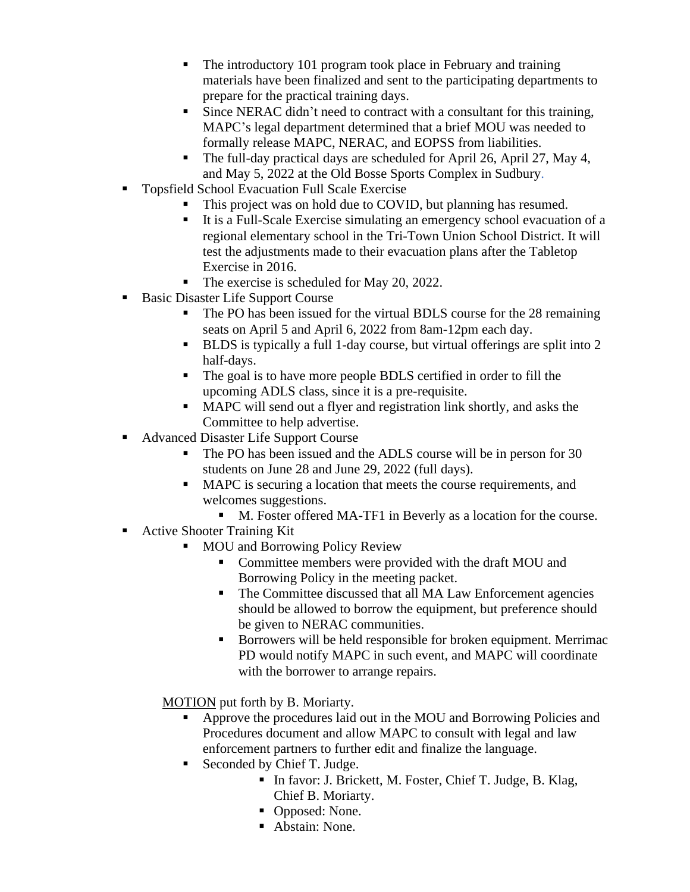- The introductory 101 program took place in February and training materials have been finalized and sent to the participating departments to prepare for the practical training days.
- Since NERAC didn't need to contract with a consultant for this training, MAPC's legal department determined that a brief MOU was needed to formally release MAPC, NERAC, and EOPSS from liabilities.
- The full-day practical days are scheduled for April 26, April 27, May 4, and May 5, 2022 at the Old Bosse Sports Complex in Sudbury.
- Topsfield School Evacuation Full Scale Exercise
	- This project was on hold due to COVID, but planning has resumed.
	- It is a Full-Scale Exercise simulating an emergency school evacuation of a regional elementary school in the Tri-Town Union School District. It will test the adjustments made to their evacuation plans after the Tabletop Exercise in 2016.
	- The exercise is scheduled for May 20, 2022.
- Basic Disaster Life Support Course
	- The PO has been issued for the virtual BDLS course for the 28 remaining seats on April 5 and April 6, 2022 from 8am-12pm each day.
	- BLDS is typically a full 1-day course, but virtual offerings are split into 2 half-days.
	- The goal is to have more people BDLS certified in order to fill the upcoming ADLS class, since it is a pre-requisite.
	- MAPC will send out a flyer and registration link shortly, and asks the Committee to help advertise.
- Advanced Disaster Life Support Course
	- The PO has been issued and the ADLS course will be in person for 30 students on June 28 and June 29, 2022 (full days).
	- MAPC is securing a location that meets the course requirements, and welcomes suggestions.
		- M. Foster offered MA-TF1 in Beverly as a location for the course.
- Active Shooter Training Kit
	- **MOU and Borrowing Policy Review** 
		- Committee members were provided with the draft MOU and Borrowing Policy in the meeting packet.
		- The Committee discussed that all MA Law Enforcement agencies should be allowed to borrow the equipment, but preference should be given to NERAC communities.
		- Borrowers will be held responsible for broken equipment. Merrimac PD would notify MAPC in such event, and MAPC will coordinate with the borrower to arrange repairs.
	- MOTION put forth by B. Moriarty.
		- Approve the procedures laid out in the MOU and Borrowing Policies and Procedures document and allow MAPC to consult with legal and law enforcement partners to further edit and finalize the language.
		- Seconded by Chief T. Judge.
			- In favor: J. Brickett, M. Foster, Chief T. Judge, B. Klag, Chief B. Moriarty.
			- Opposed: None.
			- Abstain: None.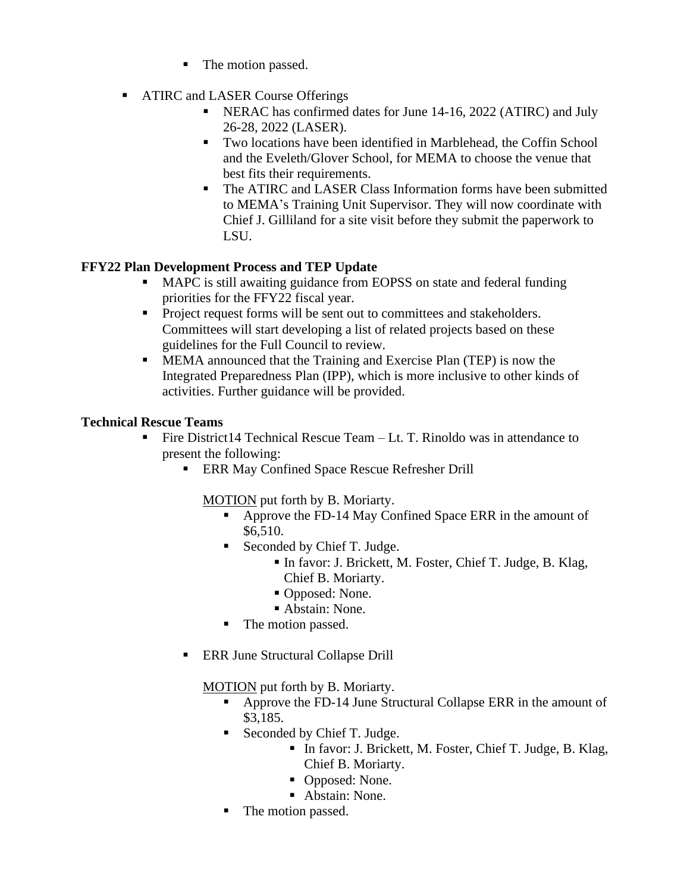- The motion passed.
- ATIRC and LASER Course Offerings
	- NERAC has confirmed dates for June 14-16, 2022 (ATIRC) and July 26-28, 2022 (LASER).
	- Two locations have been identified in Marblehead, the Coffin School and the Eveleth/Glover School, for MEMA to choose the venue that best fits their requirements.
	- The ATIRC and LASER Class Information forms have been submitted to MEMA's Training Unit Supervisor. They will now coordinate with Chief J. Gilliland for a site visit before they submit the paperwork to LSU.

## **FFY22 Plan Development Process and TEP Update**

- MAPC is still awaiting guidance from EOPSS on state and federal funding priorities for the FFY22 fiscal year.
- Project request forms will be sent out to committees and stakeholders. Committees will start developing a list of related projects based on these guidelines for the Full Council to review.
- **EXECUTE:** MEMA announced that the Training and Exercise Plan (TEP) is now the Integrated Preparedness Plan (IPP), which is more inclusive to other kinds of activities. Further guidance will be provided.

#### **Technical Rescue Teams**

- **•** Fire District 14 Technical Rescue Team  $-Lt$ . T. Rinoldo was in attendance to present the following:
	- **ERR May Confined Space Rescue Refresher Drill**

MOTION put forth by B. Moriarty.

- Approve the FD-14 May Confined Space ERR in the amount of \$6,510.
- Seconded by Chief T. Judge.
	- In favor: J. Brickett, M. Foster, Chief T. Judge, B. Klag, Chief B. Moriarty.
	- Opposed: None.
	- Abstain: None.
- The motion passed.
- ERR June Structural Collapse Drill

MOTION put forth by B. Moriarty.

- Approve the FD-14 June Structural Collapse ERR in the amount of \$3,185.
- Seconded by Chief T. Judge.
	- In favor: J. Brickett, M. Foster, Chief T. Judge, B. Klag, Chief B. Moriarty.
	- Opposed: None.
	- Abstain: None.
- The motion passed.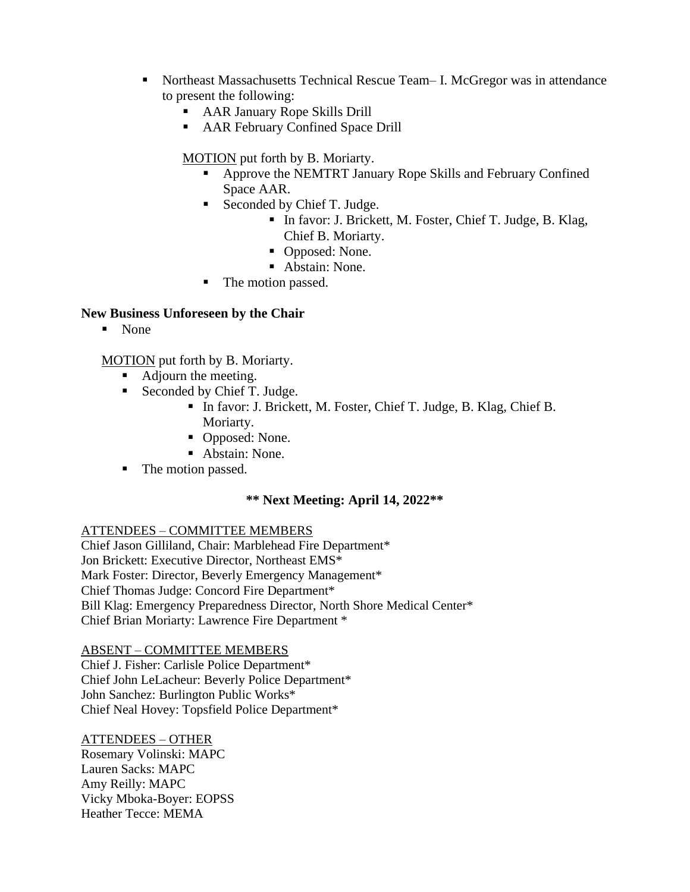- Northeast Massachusetts Technical Rescue Team– I. McGregor was in attendance to present the following:
	- AAR January Rope Skills Drill
	- AAR February Confined Space Drill

#### MOTION put forth by B. Moriarty.

- Approve the NEMTRT January Rope Skills and February Confined Space AAR.
- Seconded by Chief T. Judge.
	- In favor: J. Brickett, M. Foster, Chief T. Judge, B. Klag, Chief B. Moriarty.
	- Opposed: None.
	- Abstain: None.
- The motion passed.

#### **New Business Unforeseen by the Chair**

■ None

MOTION put forth by B. Moriarty.

- Adjourn the meeting.
- Seconded by Chief T. Judge.
	- In favor: J. Brickett, M. Foster, Chief T. Judge, B. Klag, Chief B. Moriarty.
	- Opposed: None.
	- Abstain: None.
- The motion passed.

#### **\*\* Next Meeting: April 14, 2022\*\***

#### ATTENDEES – COMMITTEE MEMBERS

Chief Jason Gilliland, Chair: Marblehead Fire Department\* Jon Brickett: Executive Director, Northeast EMS\* Mark Foster: Director, Beverly Emergency Management\* Chief Thomas Judge: Concord Fire Department\* Bill Klag: Emergency Preparedness Director, North Shore Medical Center\* Chief Brian Moriarty: Lawrence Fire Department \*

#### ABSENT – COMMITTEE MEMBERS

Chief J. Fisher: Carlisle Police Department\* Chief John LeLacheur: Beverly Police Department\* John Sanchez: Burlington Public Works\* Chief Neal Hovey: Topsfield Police Department\*

#### ATTENDEES – OTHER

Rosemary Volinski: MAPC Lauren Sacks: MAPC Amy Reilly: MAPC Vicky Mboka-Boyer: EOPSS Heather Tecce: MEMA